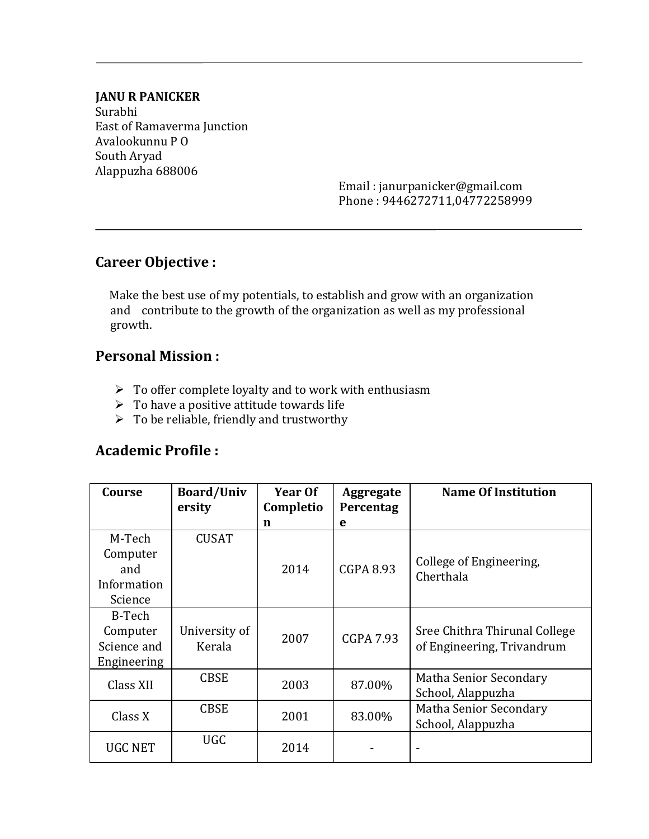#### **JANU R PANICKER**

Surabhi East of Ramaverma Junction Avalookunnu P O South Aryad Alappuzha 688006

> Email : janurpanicker@gmail.com Phone : 9446272711,04772258999

### **Career Objective :**

 Make the best use of my potentials, to establish and grow with an organization and contribute to the growth of the organization as well as my professional growth.

### **Personal Mission :**

- $\triangleright$  To offer complete loyalty and to work with enthusiasm
- $\triangleright$  To have a positive attitude towards life
- $\triangleright$  To be reliable, friendly and trustworthy

## **Academic Profile :**

| Course         | <b>Board/Univ</b><br>ersity | Year Of<br>Completio | Aggregate<br>Percentag | <b>Name Of Institution</b>           |  |
|----------------|-----------------------------|----------------------|------------------------|--------------------------------------|--|
|                |                             | n                    | e                      |                                      |  |
| M-Tech         | <b>CUSAT</b>                |                      |                        |                                      |  |
| Computer       |                             |                      |                        |                                      |  |
| and            |                             | 2014                 | <b>CGPA 8.93</b>       | College of Engineering,<br>Cherthala |  |
| Information    |                             |                      |                        |                                      |  |
| Science        |                             |                      |                        |                                      |  |
| B-Tech         |                             |                      |                        |                                      |  |
| Computer       | University of               | 2007                 | <b>CGPA 7.93</b>       | Sree Chithra Thirunal College        |  |
| Science and    | Kerala                      |                      |                        | of Engineering, Trivandrum           |  |
| Engineering    |                             |                      |                        |                                      |  |
| Class XII      | <b>CBSE</b>                 | 2003                 | 87.00%                 | Matha Senior Secondary               |  |
|                |                             |                      |                        | School, Alappuzha                    |  |
| Class X        | <b>CBSE</b>                 | 2001                 | 83.00%                 | Matha Senior Secondary               |  |
|                |                             |                      |                        | School, Alappuzha                    |  |
| <b>UGC NET</b> | <b>UGC</b>                  | 2014                 |                        |                                      |  |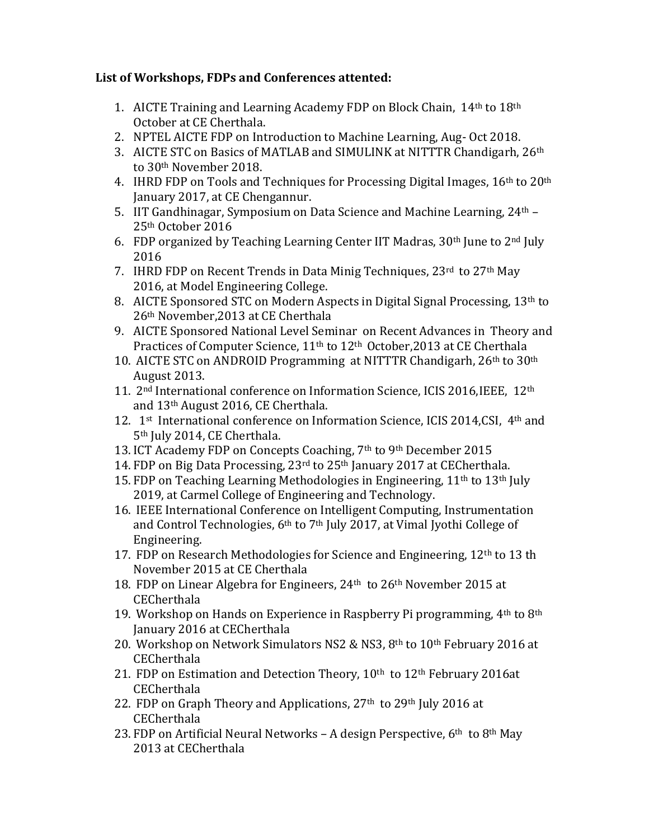#### **List of Workshops, FDPs and Conferences attented:**

- 1. AICTE Training and Learning Academy FDP on Block Chain, 14th to 18th October at CE Cherthala.
- 2. NPTEL AICTE FDP on Introduction to Machine Learning, Aug- Oct 2018.
- 3. AICTE STC on Basics of MATLAB and SIMULINK at NITTTR Chandigarh, 26<sup>th</sup> to 30th November 2018.
- 4. IHRD FDP on Tools and Techniques for Processing Digital Images, 16<sup>th</sup> to 20<sup>th</sup> January 2017, at CE Chengannur.
- 5. IIT Gandhinagar, Symposium on Data Science and Machine Learning, 24th 25th October 2016
- 6. FDP organized by Teaching Learning Center IIT Madras,  $30<sup>th</sup>$  June to  $2<sup>nd</sup>$  July 2016
- 7. IHRD FDP on Recent Trends in Data Minig Techniques, 23rd to 27<sup>th</sup> May 2016, at Model Engineering College.
- 8. AICTE Sponsored STC on Modern Aspects in Digital Signal Processing, 13<sup>th</sup> to 26th November,2013 at CE Cherthala
- 9. AICTE Sponsored National Level Seminar on Recent Advances in Theory and Practices of Computer Science, 11<sup>th</sup> to 12<sup>th</sup> October, 2013 at CE Cherthala
- 10. AICTE STC on ANDROID Programming at NITTTR Chandigarh, 26th to 30th August 2013.
- 11. 2nd International conference on Information Science, ICIS 2016,IEEE, 12th and 13th August 2016, CE Cherthala.
- 12. 1<sup>st</sup> International conference on Information Science, ICIS 2014, CSI, 4<sup>th</sup> and 5<sup>th</sup> July 2014, CE Cherthala.
- 13. ICT Academy FDP on Concepts Coaching, 7th to 9th December 2015
- 14. FDP on Big Data Processing, 23rd to 25th January 2017 at CECherthala.
- 15. FDP on Teaching Learning Methodologies in Engineering,  $11<sup>th</sup>$  to  $13<sup>th</sup>$  July 2019, at Carmel College of Engineering and Technology.
- 16. IEEE International Conference on Intelligent Computing, Instrumentation and Control Technologies, 6th to 7th July 2017, at Vimal Jyothi College of Engineering.
- 17. FDP on Research Methodologies for Science and Engineering, 12th to 13 th November 2015 at CE Cherthala
- 18. FDP on Linear Algebra for Engineers, 24th to 26th November 2015 at **CECherthala**
- 19. Workshop on Hands on Experience in Raspberry Pi programming,  $4<sup>th</sup>$  to  $8<sup>th</sup>$ January 2016 at CECherthala
- 20. Workshop on Network Simulators NS2 & NS3, 8th to 10th February 2016 at **CECherthala**
- 21. FDP on Estimation and Detection Theory, 10<sup>th</sup> to 12<sup>th</sup> February 2016at **CECherthala**
- 22. FDP on Graph Theory and Applications, 27<sup>th</sup> to 29<sup>th</sup> July 2016 at **CECherthala**
- 23. FDP on Artificial Neural Networks A design Perspective,  $6<sup>th</sup>$  to  $8<sup>th</sup>$  May 2013 at CECherthala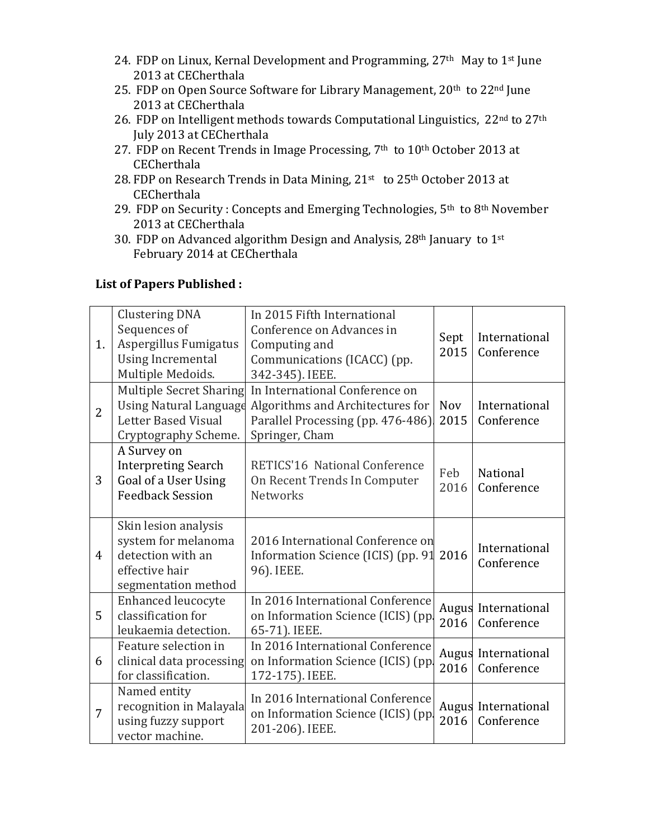- 24. FDP on Linux, Kernal Development and Programming, 27<sup>th</sup> May to 1<sup>st</sup> June 2013 at CECherthala
- 25. FDP on Open Source Software for Library Management, 20<sup>th</sup> to 22<sup>nd</sup> June 2013 at CECherthala
- 26. FDP on Intelligent methods towards Computational Linguistics, 22nd to 27th July 2013 at CECherthala
- 27. FDP on Recent Trends in Image Processing,  $7<sup>th</sup>$  to  $10<sup>th</sup>$  October 2013 at **CECherthala**
- 28. FDP on Research Trends in Data Mining, 21<sup>st</sup> to 25<sup>th</sup> October 2013 at **CECherthala**
- 29. FDP on Security : Concepts and Emerging Technologies, 5th to 8th November 2013 at CECherthala
- 30. FDP on Advanced algorithm Design and Analysis, 28th January to 1st February 2014 at CECherthala

#### **List of Papers Published :**

| 1. |                | <b>Clustering DNA</b><br>Sequences of<br>Aspergillus Fumigatus                                                 | In 2015 Fifth International<br>Conference on Advances in<br>Computing and                                                 | Sept<br>2015       | International<br>Conference       |
|----|----------------|----------------------------------------------------------------------------------------------------------------|---------------------------------------------------------------------------------------------------------------------------|--------------------|-----------------------------------|
|    |                | <b>Using Incremental</b><br>Multiple Medoids.                                                                  | Communications (ICACC) (pp.<br>342-345). IEEE.                                                                            |                    |                                   |
|    | $\overline{2}$ | <b>Multiple Secret Sharing</b><br><b>Using Natural Language</b><br>Letter Based Visual<br>Cryptography Scheme. | In International Conference on<br>Algorithms and Architectures for<br>Parallel Processing (pp. 476-486)<br>Springer, Cham | <b>Nov</b><br>2015 | International<br>Conference       |
|    | 3              | A Survey on<br><b>Interpreting Search</b><br>Goal of a User Using<br><b>Feedback Session</b>                   | RETICS'16 National Conference<br>On Recent Trends In Computer<br><b>Networks</b>                                          | Feb<br>2016        | National<br>Conference            |
|    | 4              | Skin lesion analysis<br>system for melanoma<br>detection with an<br>effective hair<br>segmentation method      | 2016 International Conference on<br>Information Science (ICIS) (pp. 91<br>96). IEEE.                                      | 2016               | International<br>Conference       |
|    | 5              | <b>Enhanced leucocyte</b><br>classification for<br>leukaemia detection.                                        | In 2016 International Conference<br>on Information Science (ICIS) (pp<br>65-71). IEEE.                                    | 2016               | Augus International<br>Conference |
|    | 6              | Feature selection in<br>clinical data processing<br>for classification.                                        | In 2016 International Conference<br>on Information Science (ICIS) (pp<br>172-175). IEEE.                                  | 2016               | Augus International<br>Conference |
|    | 7              | Named entity<br>recognition in Malayala<br>using fuzzy support<br>vector machine.                              | In 2016 International Conference<br>on Information Science (ICIS) (pp<br>201-206). IEEE.                                  | 2016               | Augus International<br>Conference |